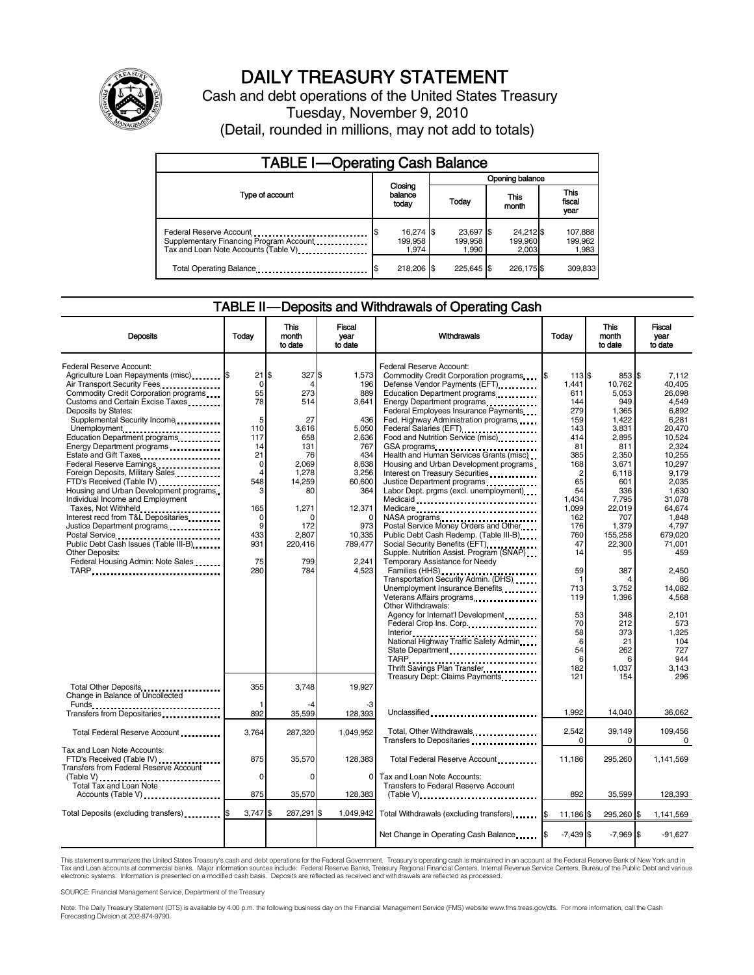

# DAILY TREASURY STATEMENT

Cash and debt operations of the United States Treasury Tuesday, November 9, 2010 (Detail, rounded in millions, may not add to totals)

| <b>TABLE I-Operating Cash Balance</b>                                                                      |                               |                               |                               |                             |  |
|------------------------------------------------------------------------------------------------------------|-------------------------------|-------------------------------|-------------------------------|-----------------------------|--|
|                                                                                                            |                               | Opening balance               |                               |                             |  |
| Type of account                                                                                            | Closing<br>balance<br>today   | Today                         | This<br>month                 | This<br>fiscal<br>year      |  |
| Federal Reserve Account<br>Supplementary Financing Program Account<br>Tax and Loan Note Accounts (Table V) | 16,274 \$<br>199,958<br>1.974 | 23,697 \$<br>199.958<br>1.990 | 24,212 \$<br>199,960<br>2.003 | 107,888<br>199,962<br>1,983 |  |
| Total Operating Balance                                                                                    | 218,206 \$                    | 225.645 \$                    | 226,175 \$                    | 309,833                     |  |

#### TABLE II — Deposits and Withdrawals of Operating Cash

| <b>Deposits</b>                                                                                                                                                                                                                                                                                                                                                                                                                                                                                                                                                                                                                                                                                                                                                      | Today                                                                                                                                                     | <b>This</b><br>month<br>to date                                                                                                                     | Fiscal<br>year<br>to date                                                                                                                                      | Withdrawals                                                                                                                                                                                                                                                                                                                                                                                                                                                                                                                                                                                                                                                                                                                                                                                                                                                                                                                                                                                                                                                                                                                                                                      | Today                                                                                                                                                                                                                                                     | <b>This</b><br>month<br>to date                                                                                                                                                                                                                                  | Fiscal<br>vear<br>to date                                                                                                                                                                                                                                                                          |
|----------------------------------------------------------------------------------------------------------------------------------------------------------------------------------------------------------------------------------------------------------------------------------------------------------------------------------------------------------------------------------------------------------------------------------------------------------------------------------------------------------------------------------------------------------------------------------------------------------------------------------------------------------------------------------------------------------------------------------------------------------------------|-----------------------------------------------------------------------------------------------------------------------------------------------------------|-----------------------------------------------------------------------------------------------------------------------------------------------------|----------------------------------------------------------------------------------------------------------------------------------------------------------------|----------------------------------------------------------------------------------------------------------------------------------------------------------------------------------------------------------------------------------------------------------------------------------------------------------------------------------------------------------------------------------------------------------------------------------------------------------------------------------------------------------------------------------------------------------------------------------------------------------------------------------------------------------------------------------------------------------------------------------------------------------------------------------------------------------------------------------------------------------------------------------------------------------------------------------------------------------------------------------------------------------------------------------------------------------------------------------------------------------------------------------------------------------------------------------|-----------------------------------------------------------------------------------------------------------------------------------------------------------------------------------------------------------------------------------------------------------|------------------------------------------------------------------------------------------------------------------------------------------------------------------------------------------------------------------------------------------------------------------|----------------------------------------------------------------------------------------------------------------------------------------------------------------------------------------------------------------------------------------------------------------------------------------------------|
| <b>Federal Reserve Account:</b><br>Agriculture Loan Repayments (misc) [65]<br>Air Transport Security Fees<br>Commodity Credit Corporation programs<br>Customs and Certain Excise Taxes<br>Deposits by States:<br>Supplemental Security Income<br>Unemployment<br>Education Department programs<br>Energy Department programs<br>Estate and Gift Taxes<br>Federal Reserve Earnings<br>Foreign Deposits, Military Sales<br>Housing and Urban Development programs<br>Individual Income and Employment<br>Taxes, Not Withheld<br>Interest recd from T&L Depositaries<br>Justice Department programs<br>Postal Service<br>Public Debt Cash Issues (Table III-B)<br>The Line of Cash Issues (Table III-B)<br>Other Deposits:<br>Federal Housing Admin: Note Sales<br>TARP | $21$ S<br>0<br>55<br>78<br>5<br>110<br>117<br>14<br>21<br>$\mathbf 0$<br>$\overline{4}$<br>548<br>з<br>165<br>$\mathbf 0$<br>9<br>433<br>931<br>75<br>280 | 327S<br>Δ<br>273<br>514<br>27<br>3.616<br>658<br>131<br>76<br>2.069<br>1,278<br>14,259<br>80<br>1,271<br>O<br>172<br>2,807<br>220,416<br>799<br>784 | 1,573<br>196<br>889<br>3,641<br>436<br>5.050<br>2,636<br>767<br>434<br>8.638<br>3,256<br>60.600<br>364<br>12,371<br>973<br>10.335<br>789,477<br>2.241<br>4.523 | Federal Reserve Account:<br>Commodity Credit Corporation programs<br>Defense Vendor Payments (EFT)<br>Education Department programs<br>Energy Department programs<br>Federal Employees Insurance Payments<br>Fed. Highway Administration programs<br>Federal Salaries (EFT)<br>1999: 1999: 1999: 1999: 1999: 1999: 1999: 1999: 1999: 1999: 1999: 1999: 1999: 1999: 1999: 1999: 1999: 1999: 1<br>Food and Nutrition Service (misc)<br>GSA programs<br>Health and Human Services Grants (misc)<br>Housing and Urban Development programs<br>Interest on Treasury Securities<br>Labor Dept. prgms (excl. unemployment)<br>Medicaid<br>Medicare<br>NASA programs<br>Postal Service Money Orders and Other<br>Public Debt Cash Redemp. (Table III-B)<br>Social Security Benefits (EFT)<br>Supple. Nutrition Assist. Program (SNAP)<br>Temporary Assistance for Needy<br>Families (HHS)<br>Transportation Security Admin. (DHS)<br>Unemployment Insurance Benefits<br>Veterans Affairs programs<br><br>Other Withdrawals:<br>Agency for Internat'l Development<br>Federal Crop Ins. Corp.<br>National Highway Traffic Safety Admin<br>State Department<br>Thrift Savings Plan Transfer | l\$<br>113 \$<br>1.441<br>611<br>144<br>279<br>159<br>143<br>414<br>81<br>385<br>168<br>$\overline{2}$<br>65<br>54<br>1.434<br>1,099<br>162<br>176<br>760<br>47<br>14<br>59<br>$\mathbf{1}$<br>713<br>119<br>53<br>70<br>58<br>6<br>54<br>6<br>182<br>121 | 853 \$<br>10.762<br>5.053<br>949<br>1,365<br>1,422<br>3.831<br>2,895<br>811<br>2,350<br>3.671<br>6,118<br>601<br>336<br>7.795<br>22,019<br>707<br>1,379<br>155.258<br>22,300<br>95<br>387<br>4<br>3.752<br>1,396<br>348<br>212<br>373<br>21<br>262<br>6<br>1.037 | 7.112<br>40.405<br>26.098<br>4,549<br>6.892<br>6,281<br>20.470<br>10.524<br>2.324<br>10.255<br>10.297<br>9.179<br>2.035<br>1.630<br>31.078<br>64.674<br>1.848<br>4.797<br>679.020<br>71.001<br>459<br>2.450<br>86<br>14.082<br>4.568<br>2,101<br>573<br>1.325<br>104<br>727<br>944<br>3.143<br>296 |
| Total Other Deposits<br>Change in Balance of Uncollected                                                                                                                                                                                                                                                                                                                                                                                                                                                                                                                                                                                                                                                                                                             | 355<br>1                                                                                                                                                  | 3,748<br>-4                                                                                                                                         | 19,927                                                                                                                                                         | Treasury Dept: Claims Payments                                                                                                                                                                                                                                                                                                                                                                                                                                                                                                                                                                                                                                                                                                                                                                                                                                                                                                                                                                                                                                                                                                                                                   |                                                                                                                                                                                                                                                           | 154                                                                                                                                                                                                                                                              |                                                                                                                                                                                                                                                                                                    |
| Transfers from Depositaries                                                                                                                                                                                                                                                                                                                                                                                                                                                                                                                                                                                                                                                                                                                                          | 892                                                                                                                                                       | 35,599                                                                                                                                              | 128,393                                                                                                                                                        | Unclassified                                                                                                                                                                                                                                                                                                                                                                                                                                                                                                                                                                                                                                                                                                                                                                                                                                                                                                                                                                                                                                                                                                                                                                     | 1,992                                                                                                                                                                                                                                                     | 14,040                                                                                                                                                                                                                                                           | 36,062                                                                                                                                                                                                                                                                                             |
| Total Federal Reserve Account                                                                                                                                                                                                                                                                                                                                                                                                                                                                                                                                                                                                                                                                                                                                        | 3,764                                                                                                                                                     | 287,320                                                                                                                                             | 1.049.952                                                                                                                                                      | Total, Other Withdrawals<br>Transfers to Depositaries                                                                                                                                                                                                                                                                                                                                                                                                                                                                                                                                                                                                                                                                                                                                                                                                                                                                                                                                                                                                                                                                                                                            | 2,542<br>$\Omega$                                                                                                                                                                                                                                         | 39,149<br>0                                                                                                                                                                                                                                                      | 109,456<br>$\Omega$                                                                                                                                                                                                                                                                                |
| Tax and Loan Note Accounts:<br>FTD's Received (Table IV)<br>Transfers from Federal Reserve Account                                                                                                                                                                                                                                                                                                                                                                                                                                                                                                                                                                                                                                                                   | 875<br>$\Omega$                                                                                                                                           | 35,570<br>$\Omega$                                                                                                                                  | 128,383<br>0                                                                                                                                                   | Total Federal Reserve Account.<br>Tax and Loan Note Accounts:                                                                                                                                                                                                                                                                                                                                                                                                                                                                                                                                                                                                                                                                                                                                                                                                                                                                                                                                                                                                                                                                                                                    | 11,186                                                                                                                                                                                                                                                    | 295,260                                                                                                                                                                                                                                                          | 1,141,569                                                                                                                                                                                                                                                                                          |
| Total Tax and Loan Note<br>Accounts (Table V)                                                                                                                                                                                                                                                                                                                                                                                                                                                                                                                                                                                                                                                                                                                        | 875                                                                                                                                                       | 35,570                                                                                                                                              | 128,383                                                                                                                                                        | <b>Transfers to Federal Reserve Account</b><br>$(Table V)$                                                                                                                                                                                                                                                                                                                                                                                                                                                                                                                                                                                                                                                                                                                                                                                                                                                                                                                                                                                                                                                                                                                       | 892                                                                                                                                                                                                                                                       | 35,599                                                                                                                                                                                                                                                           | 128,393                                                                                                                                                                                                                                                                                            |
| Total Deposits (excluding transfers) [\$                                                                                                                                                                                                                                                                                                                                                                                                                                                                                                                                                                                                                                                                                                                             | 3,747 \$                                                                                                                                                  | 287,291 \$                                                                                                                                          | 1,049,942                                                                                                                                                      | Total Withdrawals (excluding transfers)                                                                                                                                                                                                                                                                                                                                                                                                                                                                                                                                                                                                                                                                                                                                                                                                                                                                                                                                                                                                                                                                                                                                          | 11,186 \$                                                                                                                                                                                                                                                 | 295,260 \$                                                                                                                                                                                                                                                       | 1,141,569                                                                                                                                                                                                                                                                                          |
|                                                                                                                                                                                                                                                                                                                                                                                                                                                                                                                                                                                                                                                                                                                                                                      |                                                                                                                                                           |                                                                                                                                                     |                                                                                                                                                                | Net Change in Operating Cash Balance [\$                                                                                                                                                                                                                                                                                                                                                                                                                                                                                                                                                                                                                                                                                                                                                                                                                                                                                                                                                                                                                                                                                                                                         | $-7,439$ \$                                                                                                                                                                                                                                               | $-7,969$ \$                                                                                                                                                                                                                                                      | $-91,627$                                                                                                                                                                                                                                                                                          |

This statement summarizes the United States Treasury's cash and debt operations for the Federal Government. Treasury's operating cash is maintained in an account at the Federal Reserve Bank of New York and in<br>Tax and Loan electronic systems. Information is presented on a modified cash basis. Deposits are reflected as received and withdrawals are reflected as processed.

SOURCE: Financial Management Service, Department of the Treasury

Note: The Daily Treasury Statement (DTS) is available by 4:00 p.m. the following business day on the Financial Management Service (FMS) website www.fms.treas.gov/dts. For more information, call the Cash Forecasting Division at 202-874-9790.